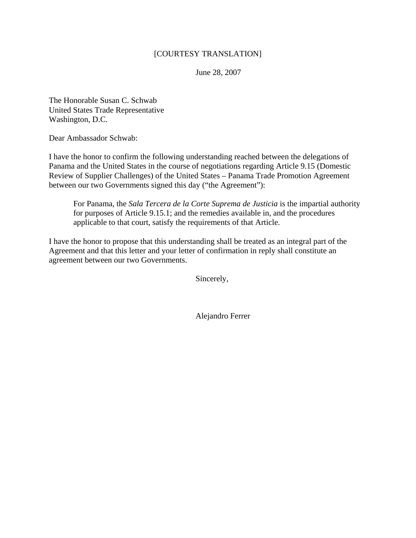## [COURTESY TRANSLATION]

June 28, 2007

The Honorable Susan C. Schwab United States Trade Representative Washington, D.C.

Dear Ambassador Schwab:

I have the honor to confirm the following understanding reached between the delegations of Panama and the United States in the course of negotiations regarding Article 9.15 (Domestic Review of Supplier Challenges) of the United States – Panama Trade Promotion Agreement between our two Governments signed this day ("the Agreement"):

For Panama, the *Sala Tercera de la Corte Suprema de Justicia* is the impartial authority for purposes of Article 9.15.1; and the remedies available in, and the procedures applicable to that court, satisfy the requirements of that Article.

I have the honor to propose that this understanding shall be treated as an integral part of the Agreement and that this letter and your letter of confirmation in reply shall constitute an agreement between our two Governments.

Sincerely,

Alejandro Ferrer